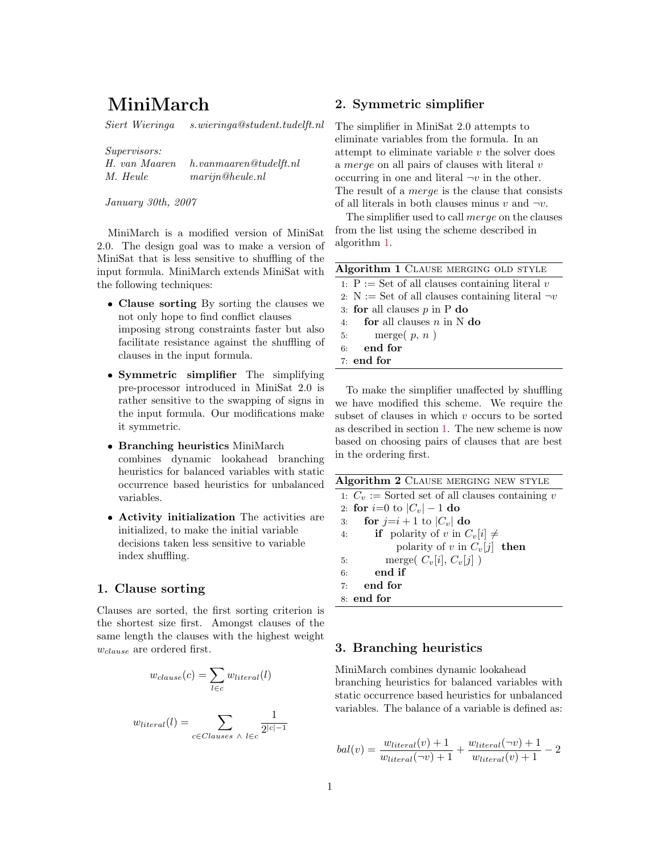# MiniMarch

Siert Wieringa s.wieringa@student.tudelft.nl

Supervisors:

| H. van Maaren | h.vanmaaren @tudelft.nl     |
|---------------|-----------------------------|
| M. Heule      | $\mathit{marijn@heule}$ .nl |

January 30th, 2007

MiniMarch is a modified version of MiniSat 2.0. The design goal was to make a version of MiniSat that is less sensitive to shuffling of the input formula. MiniMarch extends MiniSat with the following techniques:

- Clause sorting By sorting the clauses we not only hope to find conflict clauses imposing strong constraints faster but also facilitate resistance against the shuffling of clauses in the input formula.
- Symmetric simplifier The simplifying pre-processor introduced in MiniSat 2.0 is rather sensitive to the swapping of signs in the input formula. Our modifications make it symmetric.
- Branching heuristics MiniMarch combines dynamic lookahead branching heuristics for balanced variables with static occurrence based heuristics for unbalanced variables.
- Activity initialization The activities are initialized, to make the initial variable decisions taken less sensitive to variable index shuffling.

### 1. Clause sorting

Clauses are sorted, the first sorting criterion is the shortest size first. Amongst clauses of the same length the clauses with the highest weight  $w_{clause}$  are ordered first.

$$
w_{clause}(c) = \sum_{l \in c} w_{literal}(l)
$$

$$
w_{literal}(l) = \sum_{c \in Clauses \ \land \ l \in c} \frac{1}{2^{|c|-1}}
$$

## 2. Symmetric simplifier

The simplifier in MiniSat 2.0 attempts to eliminate variables from the formula. In an attempt to eliminate variable  $v$  the solver does a merge on all pairs of clauses with literal v occurring in one and literal  $\neg v$  in the other. The result of a *merge* is the clause that consists of all literals in both clauses minus v and  $\neg v$ .

The simplifier used to call merge on the clauses from the list using the scheme described in algorithm 1.

To make the simplifier unaffected by shuffling we have modified this scheme. We require the subset of clauses in which  $v$  occurs to be sorted as described in section 1. The new scheme is now based on choosing pairs of clauses that are best in the ordering first.

| Algorithm 2 CLAUSE MERGING NEW STYLE               |  |  |
|----------------------------------------------------|--|--|
| 1: $C_v :=$ Sorted set of all clauses containing v |  |  |
| 2: for $i=0$ to $ C_v  - 1$ do                     |  |  |
| for $j=i+1$ to $ C_v $ do<br>3:                    |  |  |
| <b>if</b> polarity of v in $C_v[i] \neq$<br>4:     |  |  |
| polarity of v in $C_v[j]$ then                     |  |  |
| merge( $C_v[i], C_v[j]$ )<br>5:                    |  |  |
| end if<br>6:                                       |  |  |
| $7:$ end for                                       |  |  |
| $8:$ end for                                       |  |  |

## 3. Branching heuristics

MiniMarch combines dynamic lookahead branching heuristics for balanced variables with static occurrence based heuristics for unbalanced variables. The balance of a variable is defined as:

$$
bal(v) = \frac{w_{literal}(v) + 1}{w_{literal}(\neg v) + 1} + \frac{w_{literal}(\neg v) + 1}{w_{literal}(v) + 1} - 2
$$